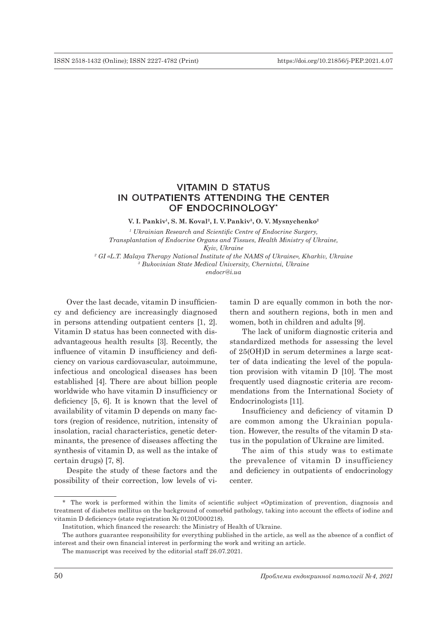# VITAMIN D STATUS IN OUTPATIENTS ATTENDING THE CENTER OF ENDOCRINOLOGY\*

**V. I. Pankiv1, S. M. Koval2, I. V. Pankiv3, O. V. Mysnychenko2**

*1 Ukrainian Research and Scientific Centre of Endocrine Surgery, Transplantation of Endocrine Organs and Tissues, Health Ministry of Ukraine, Kyiv, Ukraine 2 GI «L.T. Malaya Therapy National Institute of the NAMS of Ukraine», Kharkiv, Ukraine 3 Bukovinian State Medical University, Chernivtsi, Ukraine*

*endocr@i.ua*

Over the last decade, vitamin D insufficiency and deficiency are increasingly diagnosed in persons attending outpatient centers [1, 2]. Vitamin D status has been connected with disadvantageous health results [3]. Recently, the influence of vitamin D insufficiency and deficiency on various cardiovascular, autoimmune, infectious and oncological diseases has been established [4]. There are about billion people worldwide who have vitamin D insufficiency or deficiency [5, 6]. It is known that the level of availability of vitamin D depends on many factors (region of residence, nutrition, intensity of insolation, racial characteristics, genetic determinants, the presence of diseases affecting the synthesis of vitamin D, as well as the intake of certain drugs) [7, 8].

Despite the study of these factors and the possibility of their correction, low levels of vitamin D are equally common in both the northern and southern regions, both in men and women, both in children and adults [9].

The lack of uniform diagnostic criteria and standardized methods for assessing the level of 25(OH)D in serum determines a large scatter of data indicating the level of the population provision with vitamin D [10]. The most frequently used diagnostic criteria are recommendations from the International Society of Endocrinologists [11].

Insufficiency and deficiency of vitamin D are common among the Ukrainian population. However, the results of the vitamin D status in the population of Ukraine are limited.

The aim of this study was to estimate the prevalence of vitamin D insufficiency and deficiency in outpatients of endocrinology center.

<sup>\*</sup> The work is performed within the limits of scientific subject «Optimization of prevention, diagnosis and treatment of diabetes mellitus on the background of comorbid pathology, taking into account the effects of iodine and vitamin D deficiency» (state registration № 0120U000218).

Institution, which financed the research: the Ministry of Health of Ukraine.

The authors guarantee responsibility for everything published in the article, as well as the absence of a conflict of interest and their own financial interest in performing the work and writing an article.

The manuscript was received by the editorial staff 26.07.2021.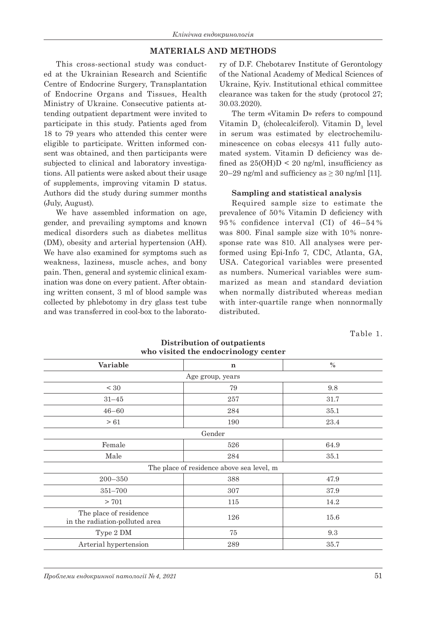### **MATERIALS AND METHODS**

This cross-sectional study was conducted at the Ukrainian Research and Scientific Centre of Endocrine Surgery, Transplantation of Endocrine Organs and Tissues, Health Ministry of Ukraine. Consecutive patients attending outpatient department were invited to participate in this study. Patients aged from 18 to 79 years who attended this center were eligible to participate. Written informed consent was obtained, and then participants were subjected to clinical and laboratory investigations. All patients were asked about their usage of supplements, improving vitamin D status. Authors did the study during summer months (July, August).

We have assembled information on age, gender, and prevailing symptoms and known medical disorders such as diabetes mellitus (DM), obesity and arterial hypertension (AH). We have also examined for symptoms such as weakness, laziness, muscle aches, and bony pain. Then, general and systemic clinical examination was done on every patient. After obtaining written consent, 3 ml of blood sample was collected by phlebotomy in dry glass test tube and was transferred in cool-box to the laborato-

ry of D.F. Chebotarev Institute of Gerontology of the National Academy of Medical Sciences of Ukraine, Kyiv. Institutional ethical committee clearance was taken for the study (protocol 27; 30.03.2020).

The term «Vitamin D» refers to compound Vitamin  $D_3$  (cholecalciferol). Vitamin  $D_3$  level in serum was estimated by electrochemiluminescence on cobas elecsys 411 fully automated system. Vitamin D deficiency was defined as  $25(OH)D < 20$  ng/ml, insufficiency as 20–29 ng/ml and sufficiency as  $\geq$  30 ng/ml [11].

#### **Sampling and statistical analysis**

Required sample size to estimate the prevalence of 50% Vitamin D deficiency with 95 % confidence interval (CI) of 46–54 % was 800. Final sample size with 10% nonresponse rate was 810. All analyses were performed using Epi-Info 7, CDC, Atlanta, GA, USA. Categorical variables were presented as numbers. Numerical variables were summarized as mean and standard deviation when normally distributed whereas median with inter-quartile range when nonnormally distributed.

Table 1.

| who visited the endocrinology center                     |             |      |  |  |  |  |
|----------------------------------------------------------|-------------|------|--|--|--|--|
| Variable                                                 | $\mathbf n$ | $\%$ |  |  |  |  |
| Age group, years                                         |             |      |  |  |  |  |
| < 30                                                     | 79          | 9.8  |  |  |  |  |
| $31 - 45$                                                | 257         | 31.7 |  |  |  |  |
| $46 - 60$                                                | 284         | 35.1 |  |  |  |  |
| >61                                                      | 190         | 23.4 |  |  |  |  |
| Gender                                                   |             |      |  |  |  |  |
| Female                                                   | 526         | 64.9 |  |  |  |  |
| Male                                                     | 284         | 35.1 |  |  |  |  |
| The place of residence above sea level, m                |             |      |  |  |  |  |
| $200 - 350$                                              | 388         | 47.9 |  |  |  |  |
| 351-700                                                  | 307         | 37.9 |  |  |  |  |
| > 701                                                    | 115         | 14.2 |  |  |  |  |
| The place of residence<br>in the radiation-polluted area | 126         | 15.6 |  |  |  |  |
| Type 2 DM                                                | $75\,$      | 9.3  |  |  |  |  |
| Arterial hypertension                                    | 289         | 35.7 |  |  |  |  |

**Distribution of outpatients who visited the endocrinology center**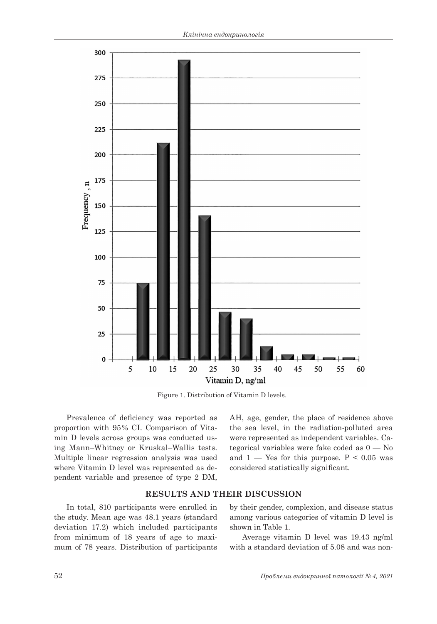

Figure 1. Distribution of Vitamin D levels.

Prevalence of deficiency was reported as proportion with 95% CI. Comparison of Vitamin D levels across groups was conducted using Mann–Whitney or Kruskal–Wallis tests. Multiple linear regression analysis was used where Vitamin D level was represented as dependent variable and presence of type 2 DM, AH, age, gender, the place of residence above the sea level, in the radiation-polluted area were represented as independent variables. Categorical variables were fake coded as 0 — No and  $1 -$  Yes for this purpose.  $P < 0.05$  was considered statistically significant.

### **RESULTS AND THEIR DISCUSSION**

In total, 810 participants were enrolled in the study. Mean age was 48.1 years (standard deviation 17.2) which included participants from minimum of 18 years of age to maximum of 78 years. Distribution of participants by their gender, complexion, and disease status among various categories of vitamin D level is shown in Table 1.

Average vitamin D level was 19.43 ng/ml with a standard deviation of 5.08 and was non-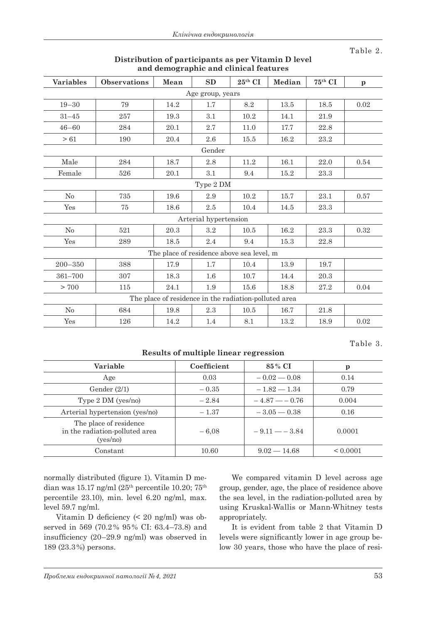Table 2.

| <b>Variables</b>                                      | <b>Observations</b> | Mean | SD                                        | $25^{\text{th}}$ CI | Median   | $75^{\text{th}}$ CI | $\mathbf{p}$ |  |
|-------------------------------------------------------|---------------------|------|-------------------------------------------|---------------------|----------|---------------------|--------------|--|
| Age group, years                                      |                     |      |                                           |                     |          |                     |              |  |
| $19 - 30$                                             | 79                  | 14.2 | 1.7                                       | 8.2                 | 13.5     | 18.5                | 0.02         |  |
| $31 - 45$                                             | 257                 | 19.3 | 3.1                                       | 10.2                | 14.1     | 21.9                |              |  |
| $46 - 60$                                             | 284                 | 20.1 | 2.7                                       | 11.0                | 17.7     | 22.8                |              |  |
| >61                                                   | 190                 | 20.4 | 2.6                                       | 15.5                | 16.2     | 23.2                |              |  |
|                                                       |                     |      | Gender                                    |                     |          |                     |              |  |
| Male                                                  | 284                 | 18.7 | 2.8                                       | 11.2                | 16.1     | 22.0                | 0.54         |  |
| Female                                                | 526                 | 20.1 | 3.1                                       | 9.4                 | 15.2     | 23.3                |              |  |
|                                                       |                     |      | Type 2 DM                                 |                     |          |                     |              |  |
| $\rm No$                                              | 735                 | 19.6 | 2.9                                       | 10.2                | 15.7     | 23.1                | 0.57         |  |
| Yes                                                   | 75                  | 18.6 | 2.5                                       | 10.4                | 14.5     | 23.3                |              |  |
| Arterial hypertension                                 |                     |      |                                           |                     |          |                     |              |  |
| No                                                    | 521                 | 20.3 | 3.2                                       | 10.5                | $16.2\,$ | 23.3                | 0.32         |  |
| Yes                                                   | 289                 | 18.5 | 2.4                                       | 9.4                 | 15.3     | 22.8                |              |  |
|                                                       |                     |      | The place of residence above sea level, m |                     |          |                     |              |  |
| $200 - 350$                                           | 388                 | 17.9 | 1.7                                       | 10.4                | 13.9     | 19.7                |              |  |
| 361-700                                               | 307                 | 18.3 | $1.6\,$                                   | 10.7                | 14.4     | 20.3                |              |  |
| > 700                                                 | 115                 | 24.1 | 1.9                                       | 15.6                | 18.8     | 27.2                | 0.04         |  |
| The place of residence in the radiation-polluted area |                     |      |                                           |                     |          |                     |              |  |
| No                                                    | 684                 | 19.8 | 2.3                                       | $10.5$              | 16.7     | 21.8                |              |  |
| Yes                                                   | 126                 | 14.2 | 1.4                                       | 8.1                 | 13.2     | 18.9                | 0.02         |  |

### **Distribution of participants as per Vitamin D level and demographic and clinical features**

Table 3.

## **Results of multiple linear regression**

| Variable                                                             | Coefficient | 85 % CI         | p             |
|----------------------------------------------------------------------|-------------|-----------------|---------------|
| Age                                                                  | 0.03        | $-0.02 - 0.08$  | 0.14          |
| Gender $(2/1)$                                                       | $-0.35$     | $-1.82 - 1.34$  | 0.79          |
| Type 2 DM (yes/no)                                                   | $-2.84$     | $-4.87 - -0.76$ | 0.004         |
| Arterial hypertension (yes/no)                                       | $-1.37$     | $-3.05 - 0.38$  | 0.16          |
| The place of residence<br>in the radiation-polluted area<br>(yes/no) | $-6.08$     | $-9.11 - -3.84$ | 0.0001        |
| Constant                                                             | 10.60       | $9.02 - 14.68$  | ${}_{0.0001}$ |

normally distributed (figure 1). Vitamin D median was 15.17 ng/ml  $(25<sup>th</sup>$  percentile 10.20;  $75<sup>th</sup>$ percentile 23.10), min. level 6.20 ng/ml, max. level 59.7 ng/ml.

Vitamin D deficiency (< 20 ng/ml) was observed in 569 (70.2% 95% CI: 63.4–73.8) and insufficiency (20–29.9 ng/ml) was observed in 189 (23.3%) persons.

We compared vitamin D level across age group, gender, age, the place of residence above the sea level, in the radiation-polluted area by using Kruskal-Wallis or Mann-Whitney tests appropriately.

It is evident from table 2 that Vitamin D levels were significantly lower in age group below 30 years, those who have the place of resi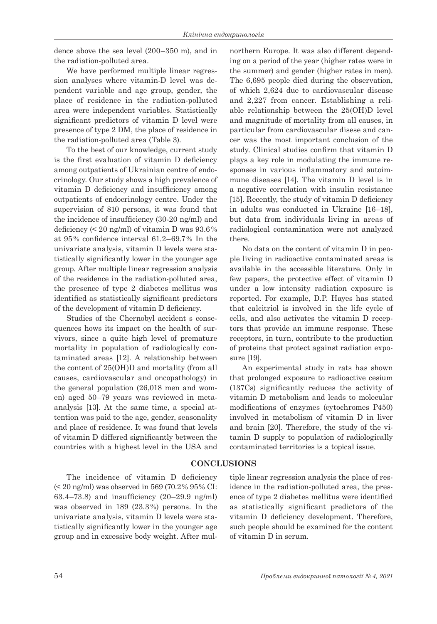dence above the sea level (200–350 m), and in the radiation-polluted area.

We have performed multiple linear regression analyses where vitamin-D level was dependent variable and age group, gender, the place of residence in the radiation-polluted area were independent variables. Statistically significant predictors of vitamin D level were presence of type 2 DM, the place of residence in the radiation-polluted area (Table 3).

To the best of our knowledge, current study is the first evaluation of vitamin D deficiency among outpatients of Ukrainian centre of endocrinology. Our study shows a high prevalence of vitamin D deficiency and insufficiency among outpatients of endocrinology centre. Under the supervision of 810 persons, it was found that the incidence of insufficiency (30-20 ng/ml) and deficiency  $\leq 20$  ng/ml) of vitamin D was  $93.6\%$ at 95% confidence interval 61.2–69.7% In the univariate analysis, vitamin D levels were statistically significantly lower in the younger age group. After multiple linear regression analysis of the residence in the radiation-polluted area, the presence of type 2 diabetes mellitus was identified as statistically significant predictors of the development of vitamin D deficiency.

Studies of the Chernobyl accident s consequences hows its impact on the health of survivors, since a quite high level of premature mortality in population of radiologically contaminated areas [12]. A relationship between the content of 25(OH)D and mortality (from all causes, cardiovascular and oncopathology) in the general population (26,018 men and women) aged 50–79 years was reviewed in metaanalysis [13]. At the same time, a special attention was paid to the age, gender, seasonality and place of residence. It was found that levels of vitamin D differed significantly between the countries with a highest level in the USA and

The incidence of vitamin D deficiency (< 20 ng/ml) was observed in 569 (70.2% 95% CI: 63.4–73.8) and insufficiency (20–29.9 ng/ml) was observed in 189 (23.3%) persons. In the univariate analysis, vitamin D levels were statistically significantly lower in the younger age group and in excessive body weight. After mul-

northern Europe. It was also different depending on a period of the year (higher rates were in the summer) and gender (higher rates in men). The 6,695 people died during the observation, of which 2,624 due to cardiovascular disease and 2,227 from cancer. Establishing a reliable relationship between the 25(OH)D level and magnitude of mortality from all causes, in particular from cardiovascular disese and cancer was the most important conclusion of the study. Clinical studies confirm that vitamin D plays a key role in modulating the immune responses in various inflammatory and autoimmune diseases [14]. The vitamin D level is in a negative correlation with insulin resistance [15]. Recently, the study of vitamin D deficiency in adults was conducted in Ukraine [16–18], but data from individuals living in areas of radiological contamination were not analyzed there.

No data on the content of vitamin D in people living in radioactive contaminated areas is available in the accessible literature. Only in few papers, the protective effect of vitamin D under a low intensity radiation exposure is reported. For example, D.P. Hayes has stated that calcitriol is involved in the life cycle of cells, and also activates the vitamin D receptors that provide an immune response. These receptors, in turn, contribute to the production of proteins that protect against radiation exposure [19].

An experimental study in rats has shown that prolonged exposure to radioactive cesium (137Cs) significantly reduces the activity of vitamin D metabolism and leads to molecular modifications of enzymes (cytochromes P450) involved in metabolism of vitamin D in liver and brain [20]. Therefore, the study of the vitamin D supply to population of radiologically contaminated territories is a topical issue.

## **CONCLUSIONS**

tiple linear regression analysis the place of residence in the radiation-polluted area, the presence of type 2 diabetes mellitus were identified as statistically significant predictors of the vitamin D deficiency development. Therefore, such people should be examined for the content of vitamin D in serum.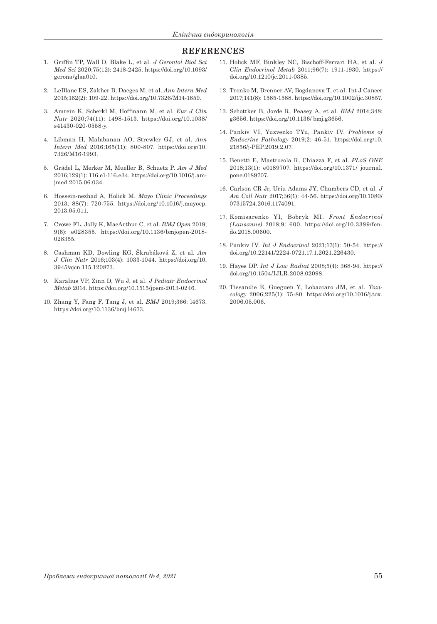#### **REFERENCES**

- 1. Griffin TP, Wall D, Blake L, et al. *J Gerontol Biol Sci Med Sci* 2020;75(12): 2418-2425. https://doi.org/10.1093/ gerona/glaa010.
- 2. LeBlanc ES, Zakher B, Daeges M, et al. *Ann Intern Med* 2015;162(2): 109-22. https://doi.org/10.7326/M14-1659.
- 3. Amrein K, Scherkl M, Hoffmann M, et al. *Eur J Clin Nutr* 2020;74(11): 1498-1513. https://doi.org/10.1038/ s41430-020-0558-y.
- 4. Libman H, Malabanan AO, Strewler GJ, et al. *Ann Intern Med* 2016;165(11): 800-807. https://doi.org/10. 7326/M16-1993.
- 5. Grädel L, Merker M, Mueller B, Schuetz P. *Am J Med* 2016;129(1): 116.e1-116.e34. https://doi.org/10.1016/j.amjmed.2015.06.034.
- 6. Hossein-nezhad A, Holick M. *Mayo Clinic Proceedings* 2013; 88(7): 720-755. https://doi.org/10.1016/j.mayocp. 2013.05.011.
- 7. Crowe FL, Jolly K, MacArthur C, et al. *BMJ Open* 2019; 9(6): e028355. https://doi.org/10.1136/bmjopen-2018- 028355.
- 8. Cashman KD, Dowling KG, Škrabáková Z, et al. *Am J Clin Nutr* 2016;103(4): 1033-1044. https://doi.org/10. 3945/ajcn.115.120873.
- 9. Karalius VP, Zinn D, Wu J, et al. *J Pediatr Endocrinol Metab* 2014. https://doi.org/10.1515/jpem-2013-0246.
- 10. Zhang Y, Fang F, Tang J, et al. *BMJ* 2019;366: l4673. https://doi.org/10.1136/bmj.l4673.
- 11. Holick MF, Binkley NC, Bischoff-Ferrari HA, et al. *J Clin Endocrinol Metab* 2011;96(7): 1911-1930. https:// doi.org/10.1210/jc.2011-0385.
- 12. Tronko M, Brenner AV, Bogdanova T, et al. Int J Cancer 2017;141(8): 1585-1588. https://doi.org/10.1002/ijc.30857.
- 13. Schottker B, Jorde R, Peasey A, et al. *BMJ* 2014;348: g3656. https://doi.org/10.1136/ bmj.g3656.
- 14. Pankiv VI, Yuzvenko TYu, Pankiv IV. *Problems of Endocrine Pathology* 2019;2: 46-51. https://doi.org/10. 21856/j-PEP.2019.2.07.
- 15. Benetti E, Mastrocola R, Chiazza F, et al. *PLoS ONE* 2018;13(1): e0189707. https://doi.org/10.1371/ journal. pone.0189707.
- 16. Carlson CR Jr, Uriu Adams JY, Chambers CD, et al. *J Am Coll Nutr* 2017;36(1): 44-56. https://doi.org/10.1080/ 07315724.2016.1174091.
- 17. Komisarenko YI, Bobryk MI. *Front Endocrinol (Lausanne)* 2018;9: 600. https://doi.org/10.3389/fendo.2018.00600.
- 18. Pankiv IV. *Int J Endocrinol* 2021;17(1): 50-54. https:// doi.org/10.22141/2224-0721.17.1.2021.226430.
- 19. Hayes DP. *Int J Low Radiat* 2008;5(4): 368-94. https:// doi.org/10.1504/IJLR.2008.02098.
- 20. Tissandie E, Gueguen Y, Lobaccaro JM, et al. *Toxicology* 2006;225(1): 75-80. https://doi.org/10.1016/j.tox. 2006.05.006.